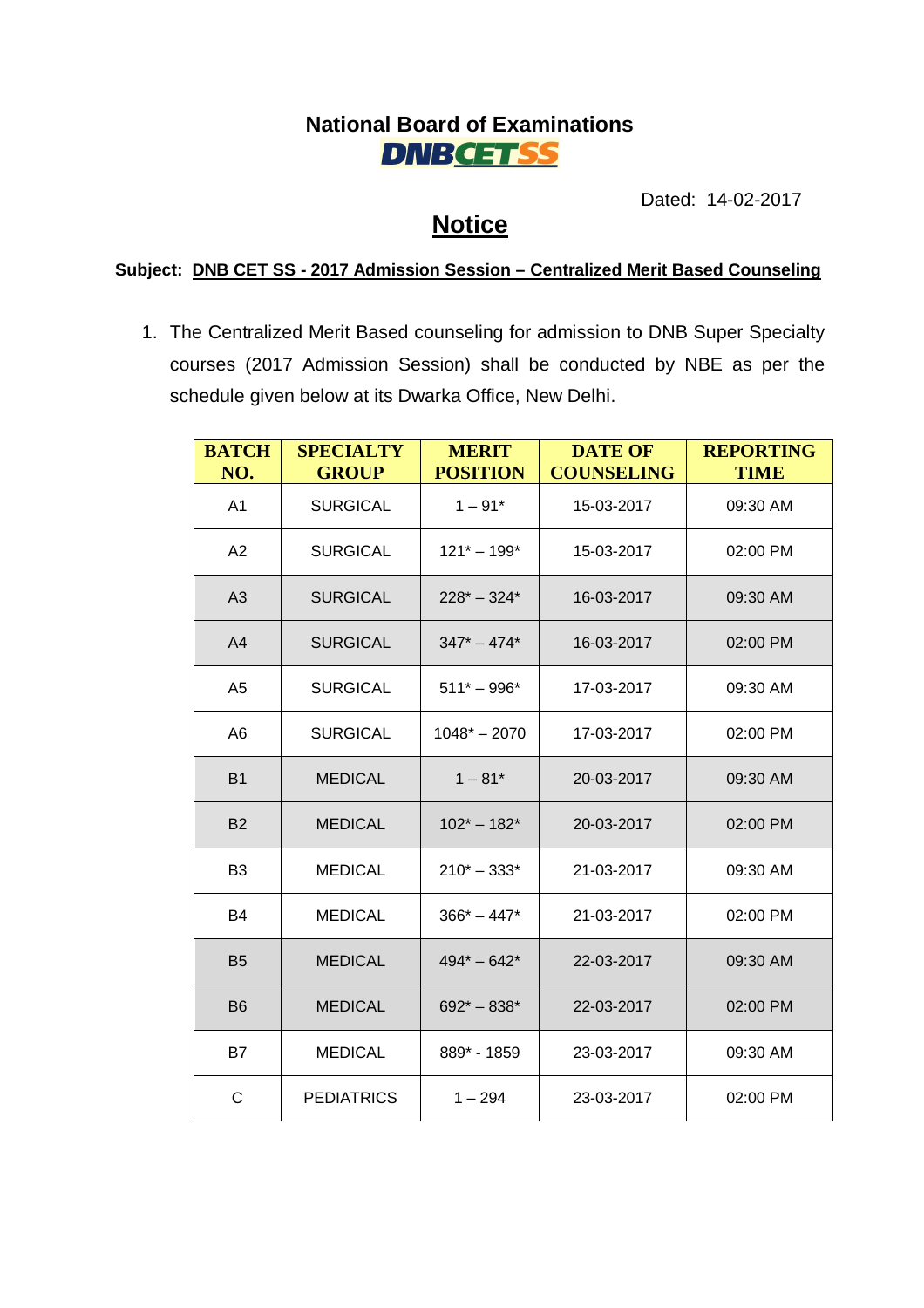## **National Board of Examinations DNBCETSS**

Dated: 14-02-2017

## **Notice**

**Subject: DNB CET SS - 2017 Admission Session – Centralized Merit Based Counseling**

1. The Centralized Merit Based counseling for admission to DNB Super Specialty courses (2017 Admission Session) shall be conducted by NBE as per the schedule given below at its Dwarka Office, New Delhi.

| <b>BATCH</b><br>NO. | <b>SPECIALTY</b><br><b>GROUP</b> | <b>MERIT</b><br><b>POSITION</b> | <b>DATE OF</b><br><b>COUNSELING</b> | <b>REPORTING</b><br><b>TIME</b> |
|---------------------|----------------------------------|---------------------------------|-------------------------------------|---------------------------------|
| A <sub>1</sub>      | <b>SURGICAL</b>                  | $1 - 91*$                       | 15-03-2017                          | 09:30 AM                        |
| A2                  | <b>SURGICAL</b>                  | $121* - 199*$                   | 15-03-2017                          | 02:00 PM                        |
| A3                  | <b>SURGICAL</b>                  | $228^* - 324^*$                 | 16-03-2017                          | 09:30 AM                        |
| A <sub>4</sub>      | <b>SURGICAL</b>                  | $347^* - 474^*$                 | 16-03-2017                          | 02:00 PM                        |
| A <sub>5</sub>      | <b>SURGICAL</b>                  | $511* - 996*$                   | 17-03-2017                          | 09:30 AM                        |
| A6                  | <b>SURGICAL</b>                  | $1048* - 2070$                  | 17-03-2017                          | 02:00 PM                        |
| <b>B1</b>           | <b>MEDICAL</b>                   | $1 - 81*$                       | 20-03-2017                          | 09:30 AM                        |
| <b>B2</b>           | <b>MEDICAL</b>                   | $102^* - 182^*$                 | 20-03-2017                          | 02:00 PM                        |
| B <sub>3</sub>      | <b>MEDICAL</b>                   | $210* - 333*$                   | 21-03-2017                          | 09:30 AM                        |
| B4                  | <b>MEDICAL</b>                   | $366* - 447*$                   | 21-03-2017                          | 02:00 PM                        |
| <b>B5</b>           | <b>MEDICAL</b>                   | $494* - 642*$                   | 22-03-2017                          | 09:30 AM                        |
| <b>B6</b>           | <b>MEDICAL</b>                   | $692* - 838*$                   | 22-03-2017                          | 02:00 PM                        |
| <b>B7</b>           | <b>MEDICAL</b>                   | 889* - 1859                     | 23-03-2017                          | 09:30 AM                        |
| $\mathsf C$         | <b>PEDIATRICS</b>                | $1 - 294$                       | 23-03-2017                          | 02:00 PM                        |